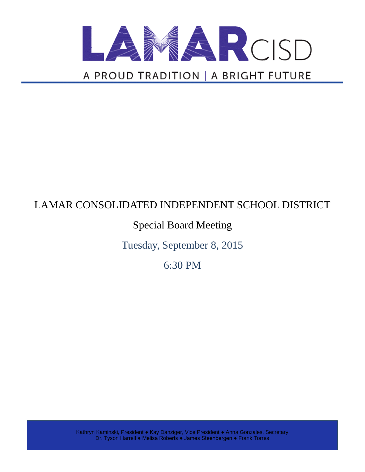

# LAMAR CONSOLIDATED INDEPENDENT SCHOOL DISTRICT

# Special Board Meeting

Tuesday, September 8, 2015

6:30 PM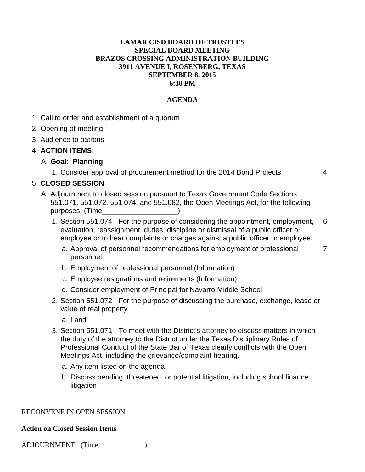## **LAMAR CISD BOARD OF TRUSTEES SPECIAL BOARD MEETING BRAZOS CROSSING ADMINISTRATION BUILDING 3911 AVENUE I, ROSENBERG, TEXAS SEPTEMBER 8, 2015 6:30 PM**

## **AGENDA**

- 1. Call to order and establishment of a quorum
- 2. Opening of meeting
- 3. Audience to patrons

### 4. **ACTION ITEMS:**

## A. **Goal: Planning**

1. Consider approval of procurement method for the 2014 Bond Projects 4

## 5. **CLOSED SESSION**

- A. Adjournment to closed session pursuant to Texas Government Code Sections 551.071, 551.072, 551.074, and 551.082, the Open Meetings Act, for the following purposes: (Time
	- 1. Section 551.074 For the purpose of considering the appointment, employment, evaluation, reassignment, duties, discipline or dismissal of a public officer or employee or to hear complaints or charges against a public officer or employee. 6
		- a. Approval of personnel recommendations for employment of professional personnel 7
		- b. Employment of professional personnel (Information)
		- c. Employee resignations and retirements (Information)
		- d. Consider employment of Principal for Navarro Middle School
	- 2. Section 551.072 For the purpose of discussing the purchase, exchange, lease or value of real property
		- a. Land
	- 3. Section 551.071 To meet with the District's attorney to discuss matters in which the duty of the attorney to the District under the Texas Disciplinary Rules of Professional Conduct of the State Bar of Texas clearly conflicts with the Open Meetings Act, including the grievance/complaint hearing.
		- a. Any item listed on the agenda
		- b. Discuss pending, threatened, or potential litigation, including school finance litigation

#### RECONVENE IN OPEN SESSION

#### **Action on Closed Session Items**

ADJOURNMENT: (Time )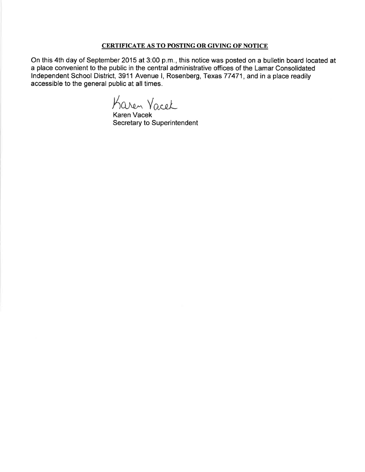#### **CERTIFICATE AS TO POSTING OR GIVING OF NOTICE**

On this 4th day of September 2015 at 3:00 p.m., this notice was posted on a bulletin board located at a place convenient to the public in the central administrative offices of the Lamar Consolidated Independent School District, 3911 Avenue I, Rosenberg, Texas 77471, and in a place readily accessible to the general public at all times.

Karen Vacel

Karen Vacek Secretary to Superintendent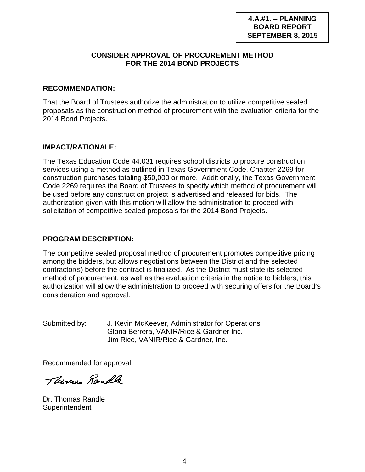## **CONSIDER APPROVAL OF PROCUREMENT METHOD FOR THE 2014 BOND PROJECTS**

## **RECOMMENDATION:**

That the Board of Trustees authorize the administration to utilize competitive sealed proposals as the construction method of procurement with the evaluation criteria for the 2014 Bond Projects.

## **IMPACT/RATIONALE:**

The Texas Education Code 44.031 requires school districts to procure construction services using a method as outlined in Texas Government Code, Chapter 2269 for construction purchases totaling \$50,000 or more. Additionally, the Texas Government Code 2269 requires the Board of Trustees to specify which method of procurement will be used before any construction project is advertised and released for bids. The authorization given with this motion will allow the administration to proceed with solicitation of competitive sealed proposals for the 2014 Bond Projects.

## **PROGRAM DESCRIPTION:**

The competitive sealed proposal method of procurement promotes competitive pricing among the bidders, but allows negotiations between the District and the selected contractor(s) before the contract is finalized. As the District must state its selected method of procurement, as well as the evaluation criteria in the notice to bidders, this authorization will allow the administration to proceed with securing offers for the Board's consideration and approval.

Submitted by: J. Kevin McKeever, Administrator for Operations Gloria Berrera, VANIR/Rice & Gardner Inc. Jim Rice, VANIR/Rice & Gardner, Inc.

Recommended for approval:

Thomas Randle

Dr. Thomas Randle **Superintendent**